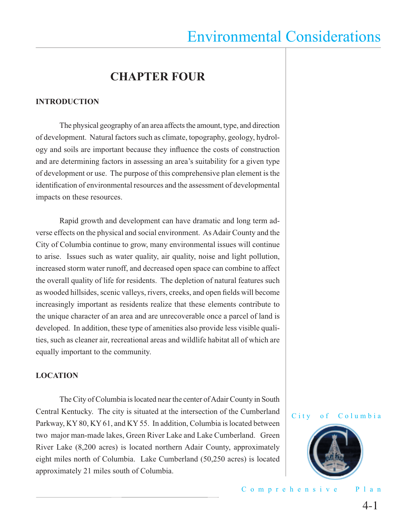### **CHAPTER FOUR**

#### **INTRODUCTION**

 The physical geography of an area affects the amount, type, and direction of development. Natural factors such as climate, topography, geology, hydrology and soils are important because they influence the costs of construction and are determining factors in assessing an area's suitability for a given type of development or use. The purpose of this comprehensive plan element is the identification of environmental resources and the assessment of developmental impacts on these resources.

 Rapid growth and development can have dramatic and long term adverse effects on the physical and social environment. As Adair County and the City of Columbia continue to grow, many environmental issues will continue to arise. Issues such as water quality, air quality, noise and light pollution, increased storm water runoff, and decreased open space can combine to affect the overall quality of life for residents. The depletion of natural features such as wooded hillsides, scenic valleys, rivers, creeks, and open fields will become increasingly important as residents realize that these elements contribute to the unique character of an area and are unrecoverable once a parcel of land is developed. In addition, these type of amenities also provide less visible qualities, such as cleaner air, recreational areas and wildlife habitat all of which are equally important to the community.

#### **LOCATION**

 The City of Columbia is located near the center of Adair County in South Central Kentucky. The city is situated at the intersection of the Cumberland Parkway, KY 80, KY 61, and KY 55. In addition, Columbia is located between two major man-made lakes, Green River Lake and Lake Cumberland. Green River Lake (8,200 acres) is located northern Adair County, approximately eight miles north of Columbia. Lake Cumberland (50,250 acres) is located approximately 21 miles south of Columbia.



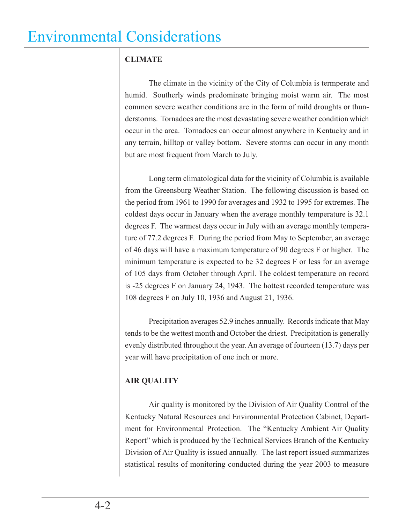### **CLIMATE**

 The climate in the vicinity of the City of Columbia is termperate and humid. Southerly winds predominate bringing moist warm air. The most common severe weather conditions are in the form of mild droughts or thunderstorms. Tornadoes are the most devastating severe weather condition which occur in the area. Tornadoes can occur almost anywhere in Kentucky and in any terrain, hilltop or valley bottom. Severe storms can occur in any month but are most frequent from March to July.

 Long term climatological data for the vicinity of Columbia is available from the Greensburg Weather Station. The following discussion is based on the period from 1961 to 1990 for averages and 1932 to 1995 for extremes. The coldest days occur in January when the average monthly temperature is 32.1 degrees F. The warmest days occur in July with an average monthly temperature of 77.2 degrees F. During the period from May to September, an average of 46 days will have a maximum temperature of 90 degrees F or higher. The minimum temperature is expected to be 32 degrees F or less for an average of 105 days from October through April. The coldest temperature on record is -25 degrees F on January 24, 1943. The hottest recorded temperature was 108 degrees F on July 10, 1936 and August 21, 1936.

 Precipitation averages 52.9 inches annually. Records indicate that May tends to be the wettest month and October the driest. Precipitation is generally evenly distributed throughout the year. An average of fourteen (13.7) days per year will have precipitation of one inch or more.

### **AIR QUALITY**

 Air quality is monitored by the Division of Air Quality Control of the Kentucky Natural Resources and Environmental Protection Cabinet, Department for Environmental Protection. The "Kentucky Ambient Air Quality Report" which is produced by the Technical Services Branch of the Kentucky Division of Air Quality is issued annually. The last report issued summarizes statistical results of monitoring conducted during the year 2003 to measure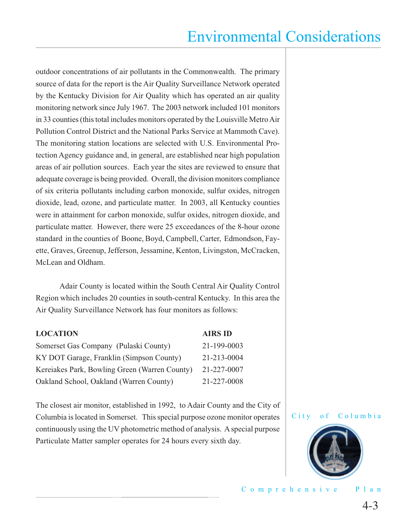outdoor concentrations of air pollutants in the Commonwealth. The primary source of data for the report is the Air Quality Surveillance Network operated by the Kentucky Division for Air Quality which has operated an air quality monitoring network since July 1967. The 2003 network included 101 monitors in 33 counties (this total includes monitors operated by the Louisville Metro Air Pollution Control District and the National Parks Service at Mammoth Cave). The monitoring station locations are selected with U.S. Environmental Protection Agency guidance and, in general, are established near high population areas of air pollution sources. Each year the sites are reviewed to ensure that adequate coverage is being provided. Overall, the division monitors compliance of six criteria pollutants including carbon monoxide, sulfur oxides, nitrogen dioxide, lead, ozone, and particulate matter. In 2003, all Kentucky counties were in attainment for carbon monoxide, sulfur oxides, nitrogen dioxide, and particulate matter. However, there were 25 exceedances of the 8-hour ozone standard in the counties of Boone, Boyd, Campbell, Carter, Edmondson, Fayette, Graves, Greenup, Jefferson, Jessamine, Kenton, Livingston, McCracken, McLean and Oldham.

 Adair County is located within the South Central Air Quality Control Region which includes 20 counties in south-central Kentucky. In this area the Air Quality Surveillance Network has four monitors as follows:

| <b>LOCATION</b>                               | <b>AIRS ID</b> |
|-----------------------------------------------|----------------|
| Somerset Gas Company (Pulaski County)         | 21-199-0003    |
| KY DOT Garage, Franklin (Simpson County)      | 21-213-0004    |
| Kereiakes Park, Bowling Green (Warren County) | 21-227-0007    |
| Oakland School, Oakland (Warren County)       | 21-227-0008    |

The closest air monitor, established in 1992, to Adair County and the City of Columbia is located in Somerset. This special purpose ozone monitor operates continuously using the UV photometric method of analysis. A special purpose Particulate Matter sampler operates for 24 hours every sixth day.



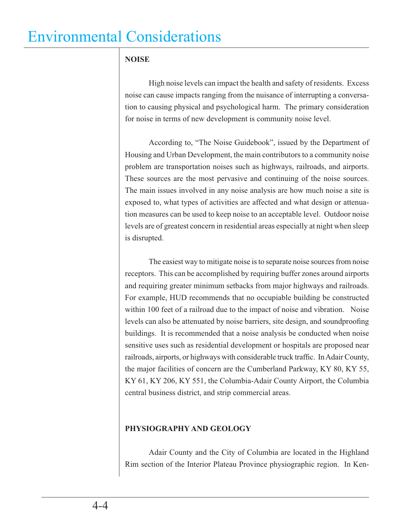### **NOISE**

 High noise levels can impact the health and safety of residents. Excess noise can cause impacts ranging from the nuisance of interrupting a conversation to causing physical and psychological harm. The primary consideration for noise in terms of new development is community noise level.

 According to, "The Noise Guidebook", issued by the Department of Housing and Urban Development, the main contributors to a community noise problem are transportation noises such as highways, railroads, and airports. These sources are the most pervasive and continuing of the noise sources. The main issues involved in any noise analysis are how much noise a site is exposed to, what types of activities are affected and what design or attenuation measures can be used to keep noise to an acceptable level. Outdoor noise levels are of greatest concern in residential areas especially at night when sleep is disrupted.

 The easiest way to mitigate noise is to separate noise sources from noise receptors. This can be accomplished by requiring buffer zones around airports and requiring greater minimum setbacks from major highways and railroads. For example, HUD recommends that no occupiable building be constructed within 100 feet of a railroad due to the impact of noise and vibration. Noise levels can also be attenuated by noise barriers, site design, and soundproofing buildings. It is recommended that a noise analysis be conducted when noise sensitive uses such as residential development or hospitals are proposed near railroads, airports, or highways with considerable truck traffic. In Adair County, the major facilities of concern are the Cumberland Parkway, KY 80, KY 55, KY 61, KY 206, KY 551, the Columbia-Adair County Airport, the Columbia central business district, and strip commercial areas.

### **PHYSIOGRAPHY AND GEOLOGY**

 Adair County and the City of Columbia are located in the Highland Rim section of the Interior Plateau Province physiographic region. In Ken-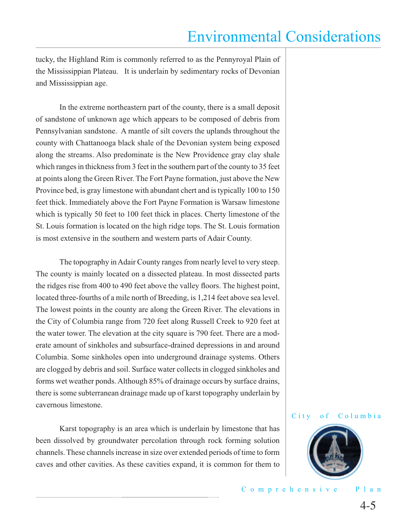tucky, the Highland Rim is commonly referred to as the Pennyroyal Plain of the Mississippian Plateau. It is underlain by sedimentary rocks of Devonian and Mississippian age.

 In the extreme northeastern part of the county, there is a small deposit of sandstone of unknown age which appears to be composed of debris from Pennsylvanian sandstone. A mantle of silt covers the uplands throughout the county with Chattanooga black shale of the Devonian system being exposed along the streams. Also predominate is the New Providence gray clay shale which ranges in thickness from 3 feet in the southern part of the county to 35 feet at points along the Green River. The Fort Payne formation, just above the New Province bed, is gray limestone with abundant chert and is typically 100 to 150 feet thick. Immediately above the Fort Payne Formation is Warsaw limestone which is typically 50 feet to 100 feet thick in places. Cherty limestone of the St. Louis formation is located on the high ridge tops. The St. Louis formation is most extensive in the southern and western parts of Adair County.

 The topography in Adair County ranges from nearly level to very steep. The county is mainly located on a dissected plateau. In most dissected parts the ridges rise from 400 to 490 feet above the valley floors. The highest point, located three-fourths of a mile north of Breeding, is 1,214 feet above sea level. The lowest points in the county are along the Green River. The elevations in the City of Columbia range from 720 feet along Russell Creek to 920 feet at the water tower. The elevation at the city square is 790 feet. There are a moderate amount of sinkholes and subsurface-drained depressions in and around Columbia. Some sinkholes open into underground drainage systems. Others are clogged by debris and soil. Surface water collects in clogged sinkholes and forms wet weather ponds. Although 85% of drainage occurs by surface drains, there is some subterranean drainage made up of karst topography underlain by cavernous limestone.

 Karst topography is an area which is underlain by limestone that has been dissolved by groundwater percolation through rock forming solution channels. These channels increase in size over extended periods of time to form caves and other cavities. As these cavities expand, it is common for them to

#### City of Columbia

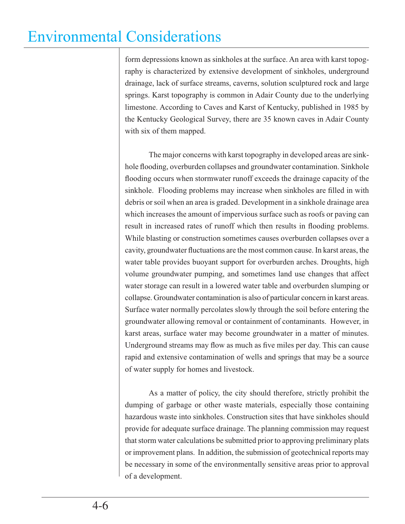form depressions known as sinkholes at the surface. An area with karst topography is characterized by extensive development of sinkholes, underground drainage, lack of surface streams, caverns, solution sculptured rock and large springs. Karst topography is common in Adair County due to the underlying limestone. According to Caves and Karst of Kentucky, published in 1985 by the Kentucky Geological Survey, there are 35 known caves in Adair County with six of them mapped.

 The major concerns with karst topography in developed areas are sinkhole flooding, overburden collapses and groundwater contamination. Sinkhole flooding occurs when stormwater runoff exceeds the drainage capacity of the sinkhole. Flooding problems may increase when sinkholes are filled in with debris or soil when an area is graded. Development in a sinkhole drainage area which increases the amount of impervious surface such as roofs or paving can result in increased rates of runoff which then results in flooding problems. While blasting or construction sometimes causes overburden collapses over a cavity, groundwater fluctuations are the most common cause. In karst areas, the water table provides buoyant support for overburden arches. Droughts, high volume groundwater pumping, and sometimes land use changes that affect water storage can result in a lowered water table and overburden slumping or collapse. Groundwater contamination is also of particular concern in karst areas. Surface water normally percolates slowly through the soil before entering the groundwater allowing removal or containment of contaminants. However, in karst areas, surface water may become groundwater in a matter of minutes. Underground streams may flow as much as five miles per day. This can cause rapid and extensive contamination of wells and springs that may be a source of water supply for homes and livestock.

 As a matter of policy, the city should therefore, strictly prohibit the dumping of garbage or other waste materials, especially those containing hazardous waste into sinkholes. Construction sites that have sinkholes should provide for adequate surface drainage. The planning commission may request that storm water calculations be submitted prior to approving preliminary plats or improvement plans. In addition, the submission of geotechnical reports may be necessary in some of the environmentally sensitive areas prior to approval of a development.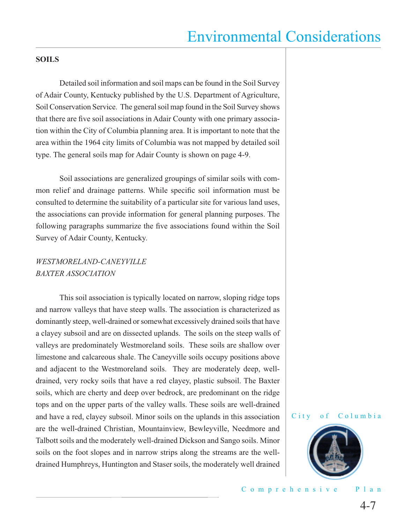#### **SOILS**

 Detailed soil information and soil maps can be found in the Soil Survey of Adair County, Kentucky published by the U.S. Department of Agriculture, Soil Conservation Service. The general soil map found in the Soil Survey shows that there are five soil associations in Adair County with one primary association within the City of Columbia planning area. It is important to note that the area within the 1964 city limits of Columbia was not mapped by detailed soil type. The general soils map for Adair County is shown on page 4-9.

 Soil associations are generalized groupings of similar soils with common relief and drainage patterns. While specific soil information must be consulted to determine the suitability of a particular site for various land uses, the associations can provide information for general planning purposes. The following paragraphs summarize the five associations found within the Soil Survey of Adair County, Kentucky.

### *WESTMORELAND-CANEYVILLE BAXTER ASSOCIATION*

 This soil association is typically located on narrow, sloping ridge tops and narrow valleys that have steep walls. The association is characterized as dominantly steep, well-drained or somewhat excessively drained soils that have a clayey subsoil and are on dissected uplands. The soils on the steep walls of valleys are predominately Westmoreland soils. These soils are shallow over limestone and calcareous shale. The Caneyville soils occupy positions above and adjacent to the Westmoreland soils. They are moderately deep, welldrained, very rocky soils that have a red clayey, plastic subsoil. The Baxter soils, which are cherty and deep over bedrock, are predominant on the ridge tops and on the upper parts of the valley walls. These soils are well-drained and have a red, clayey subsoil. Minor soils on the uplands in this association are the well-drained Christian, Mountainview, Bewleyville, Needmore and Talbott soils and the moderately well-drained Dickson and Sango soils. Minor soils on the foot slopes and in narrow strips along the streams are the welldrained Humphreys, Huntington and Staser soils, the moderately well drained



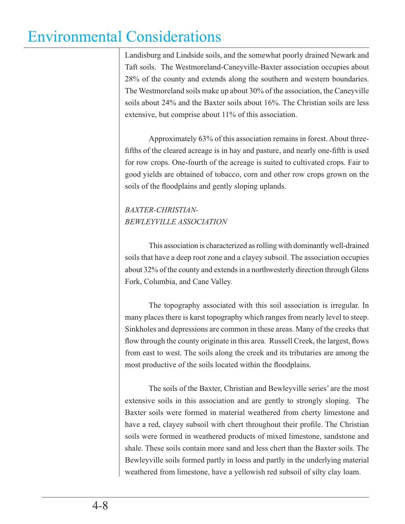Landisburg and Lindside soils, and the somewhat poorly drained Newark and Taft soils. The Westmoreland-Caneyville-Baxter association occupies about 28% of the county and extends along the southern and western boundaries. The Westmoreland soils make up about 30% of the association, the Caneyville soils about 24% and the Baxter soils about 16%. The Christian soils are less extensive, but comprise about 11% of this association.

 Approximately 63% of this association remains in forest. About threefifths of the cleared acreage is in hay and pasture, and nearly one-fifth is used for row crops. One-fourth of the acreage is suited to cultivated crops. Fair to good yields are obtained of tobacco, corn and other row crops grown on the soils of the floodplains and gently sloping uplands.

### *BAXTER-CHRISTIAN-BEWLEYVILLE ASSOCIATION*

 This association is characterized as rolling with dominantly well-drained soils that have a deep root zone and a clayey subsoil. The association occupies about 32% of the county and extends in a northwesterly direction through Glens Fork, Columbia, and Cane Valley.

 The topography associated with this soil association is irregular. In many places there is karst topography which ranges from nearly level to steep. Sinkholes and depressions are common in these areas. Many of the creeks that flow through the county originate in this area. Russell Creek, the largest, flows from east to west. The soils along the creek and its tributaries are among the most productive of the soils located within the floodplains.

 The soils of the Baxter, Christian and Bewleyville series' are the most extensive soils in this association and are gently to strongly sloping. The Baxter soils were formed in material weathered from cherty limestone and have a red, clayey subsoil with chert throughout their profile. The Christian soils were formed in weathered products of mixed limestone, sandstone and shale. These soils contain more sand and less chert than the Baxter soils. The Bewleyville soils formed partly in loess and partly in the underlying material weathered from limestone, have a yellowish red subsoil of silty clay loam.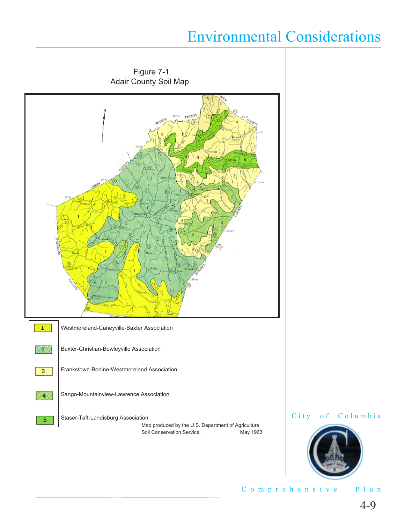





Comprehensive Plan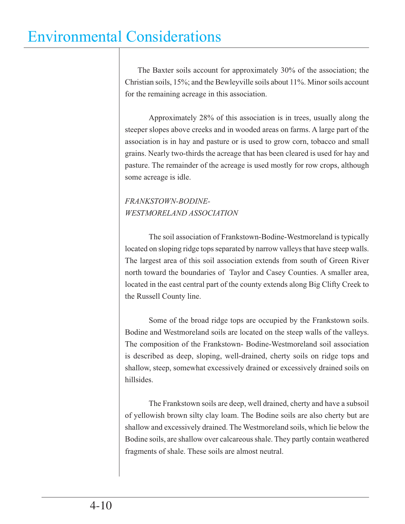The Baxter soils account for approximately 30% of the association; the Christian soils, 15%; and the Bewleyville soils about 11%. Minor soils account for the remaining acreage in this association.

 Approximately 28% of this association is in trees, usually along the steeper slopes above creeks and in wooded areas on farms. A large part of the association is in hay and pasture or is used to grow corn, tobacco and small grains. Nearly two-thirds the acreage that has been cleared is used for hay and pasture. The remainder of the acreage is used mostly for row crops, although some acreage is idle.

### *FRANKSTOWN-BODINE-WESTMORELAND ASSOCIATION*

 The soil association of Frankstown-Bodine-Westmoreland is typically located on sloping ridge tops separated by narrow valleys that have steep walls. The largest area of this soil association extends from south of Green River north toward the boundaries of Taylor and Casey Counties. A smaller area, located in the east central part of the county extends along Big Clifty Creek to the Russell County line.

 Some of the broad ridge tops are occupied by the Frankstown soils. Bodine and Westmoreland soils are located on the steep walls of the valleys. The composition of the Frankstown- Bodine-Westmoreland soil association is described as deep, sloping, well-drained, cherty soils on ridge tops and shallow, steep, somewhat excessively drained or excessively drained soils on hillsides.

 The Frankstown soils are deep, well drained, cherty and have a subsoil of yellowish brown silty clay loam. The Bodine soils are also cherty but are shallow and excessively drained. The Westmoreland soils, which lie below the Bodine soils, are shallow over calcareous shale. They partly contain weathered fragments of shale. These soils are almost neutral.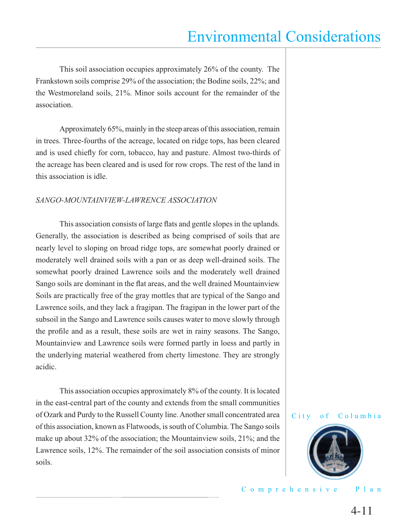This soil association occupies approximately 26% of the county. The Frankstown soils comprise 29% of the association; the Bodine soils, 22%; and the Westmoreland soils, 21%. Minor soils account for the remainder of the association.

 Approximately 65%, mainly in the steep areas of this association, remain in trees. Three-fourths of the acreage, located on ridge tops, has been cleared and is used chiefly for corn, tobacco, hay and pasture. Almost two-thirds of the acreage has been cleared and is used for row crops. The rest of the land in this association is idle.

#### *SANGO-MOUNTAINVIEW-LAWRENCE ASSOCIATION*

This association consists of large flats and gentle slopes in the uplands. Generally, the association is described as being comprised of soils that are nearly level to sloping on broad ridge tops, are somewhat poorly drained or moderately well drained soils with a pan or as deep well-drained soils. The somewhat poorly drained Lawrence soils and the moderately well drained Sango soils are dominant in the flat areas, and the well drained Mountainview Soils are practically free of the gray mottles that are typical of the Sango and Lawrence soils, and they lack a fragipan. The fragipan in the lower part of the subsoil in the Sango and Lawrence soils causes water to move slowly through the profile and as a result, these soils are wet in rainy seasons. The Sango, Mountainview and Lawrence soils were formed partly in loess and partly in the underlying material weathered from cherty limestone. They are strongly acidic.

 This association occupies approximately 8% of the county. It is located in the east-central part of the county and extends from the small communities of Ozark and Purdy to the Russell County line. Another small concentrated area of this association, known as Flatwoods, is south of Columbia. The Sango soils make up about 32% of the association; the Mountainview soils, 21%; and the Lawrence soils, 12%. The remainder of the soil association consists of minor soils.



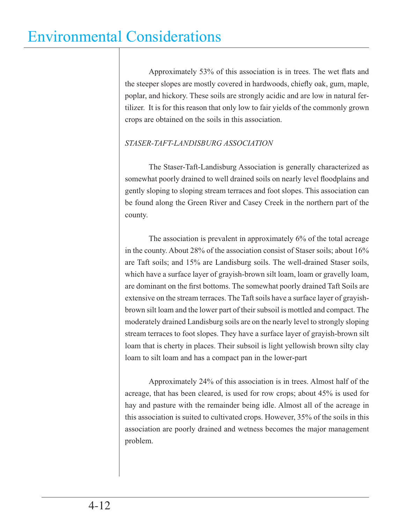Approximately 53% of this association is in trees. The wet flats and the steeper slopes are mostly covered in hardwoods, chiefly oak, gum, maple, poplar, and hickory. These soils are strongly acidic and are low in natural fertilizer. It is for this reason that only low to fair yields of the commonly grown crops are obtained on the soils in this association.

### *STASER-TAFT-LANDISBURG ASSOCIATION*

 The Staser-Taft-Landisburg Association is generally characterized as somewhat poorly drained to well drained soils on nearly level floodplains and gently sloping to sloping stream terraces and foot slopes. This association can be found along the Green River and Casey Creek in the northern part of the county.

 The association is prevalent in approximately 6% of the total acreage in the county. About 28% of the association consist of Staser soils; about 16% are Taft soils; and 15% are Landisburg soils. The well-drained Staser soils, which have a surface layer of grayish-brown silt loam, loam or gravelly loam, are dominant on the first bottoms. The somewhat poorly drained Taft Soils are extensive on the stream terraces. The Taft soils have a surface layer of grayishbrown silt loam and the lower part of their subsoil is mottled and compact. The moderately drained Landisburg soils are on the nearly level to strongly sloping stream terraces to foot slopes. They have a surface layer of grayish-brown silt loam that is cherty in places. Their subsoil is light yellowish brown silty clay loam to silt loam and has a compact pan in the lower-part

 Approximately 24% of this association is in trees. Almost half of the acreage, that has been cleared, is used for row crops; about 45% is used for hay and pasture with the remainder being idle. Almost all of the acreage in this association is suited to cultivated crops. However, 35% of the soils in this association are poorly drained and wetness becomes the major management problem.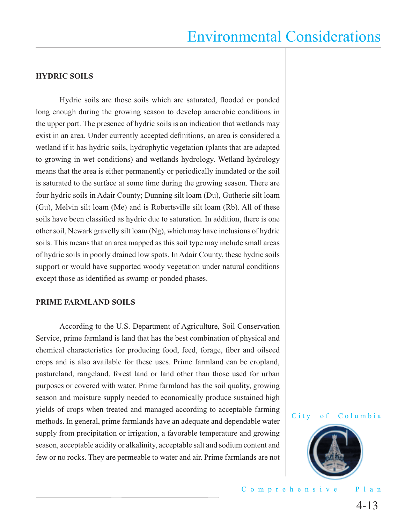#### **HYDRIC SOILS**

Hydric soils are those soils which are saturated, flooded or ponded long enough during the growing season to develop anaerobic conditions in the upper part. The presence of hydric soils is an indication that wetlands may exist in an area. Under currently accepted definitions, an area is considered a wetland if it has hydric soils, hydrophytic vegetation (plants that are adapted to growing in wet conditions) and wetlands hydrology. Wetland hydrology means that the area is either permanently or periodically inundated or the soil is saturated to the surface at some time during the growing season. There are four hydric soils in Adair County; Dunning silt loam (Du), Gutherie silt loam (Gu), Melvin silt loam (Me) and is Robertsville silt loam (Rb). All of these soils have been classified as hydric due to saturation. In addition, there is one other soil, Newark gravelly silt loam (Ng), which may have inclusions of hydric soils. This means that an area mapped as this soil type may include small areas of hydric soils in poorly drained low spots. In Adair County, these hydric soils support or would have supported woody vegetation under natural conditions except those as identified as swamp or ponded phases.

#### **PRIME FARMLAND SOILS**

 According to the U.S. Department of Agriculture, Soil Conservation Service, prime farmland is land that has the best combination of physical and chemical characteristics for producing food, feed, forage, fiber and oilseed crops and is also available for these uses. Prime farmland can be cropland, pastureland, rangeland, forest land or land other than those used for urban purposes or covered with water. Prime farmland has the soil quality, growing season and moisture supply needed to economically produce sustained high yields of crops when treated and managed according to acceptable farming methods. In general, prime farmlands have an adequate and dependable water supply from precipitation or irrigation, a favorable temperature and growing season, acceptable acidity or alkalinity, acceptable salt and sodium content and few or no rocks. They are permeable to water and air. Prime farmlands are not



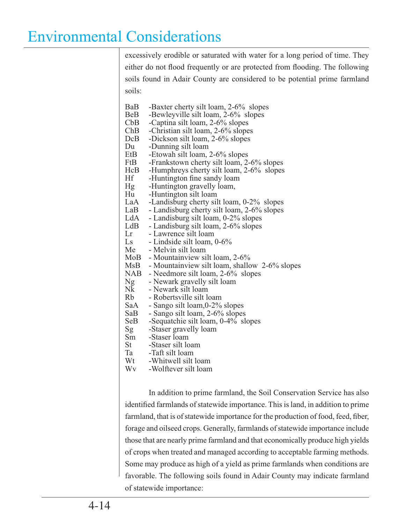excessively erodible or saturated with water for a long period of time. They either do not flood frequently or are protected from flooding. The following soils found in Adair County are considered to be potential prime farmland soils:

- BaB -Baxter cherty silt loam, 2-6% slopes<br>BeB -Bewlevville silt loam, 2-6% slopes
- BeB -Bewleyville silt loam, 2-6% slopes<br>CbB -Captina silt loam, 2-6% slopes
- CbB -Captina silt loam, 2-6% slopes<br>ChB -Christian silt loam, 2-6% slope
- ChB -Christian silt loam, 2-6% slopes<br>DcB -Dickson silt loam, 2-6% slopes
- DcB -Dickson silt loam, 2-6% slopes<br>Du -Dunning silt loam
- Du -Dunning silt loam<br>EtB -Etowah silt loam.
- EtB -Etowah silt loam, 2-6% slopes<br>FtB -Frankstown cherty silt loam, 2
- FtB -Frankstown cherty silt loam, 2-6% slopes<br>HcB -Humphreys cherty silt loam, 2-6% slopes
- HcB -Humphreys cherty silt loam, 2-6% slopes<br>Hf -Huntington fine sandy loam
- 
- He -Huntington fine sandy loam<br>Hg -Huntington gravelly loam, Hg -Huntington gravelly loam,<br>Hu -Huntington silt loam
- 
- Hu -Huntington silt loam<br>LaA -Landisburg cherty sil
- LaA -Landisburg cherty silt loam, 0-2% slopes<br>LaB Landisburg cherty silt loam, 2-6% slopes LaB - Landisburg cherty silt loam, 2-6% slopes<br>LdA - Landisburg silt loam, 0-2% slopes
	-
- LdA Landisburg silt loam, 0-2% slopes<br>LdB Landisburg silt loam, 2-6% slopes LdB - Landisburg silt loam, 2-6% slopes<br>Lr - Lawrence silt loam
- Lr Lawrence silt loam<br>Ls Lindside silt loam.
- Ls Lindside silt loam, 0-6%<br>Me Melvin silt loam
- Me Melvin silt loam
- MoB Mountainview silt loam, 2-6%<br>MsB Mountainview silt loam, shallo
	- Mountainview silt loam, shallow 2-6% slopes
- NAB Needmore silt loam, 2-6% slopes<br>Ng Newark gravelly silt loam
- Ng Newark gravelly silt loam
- Nk Newark silt loam<br>Rb Robertsville silt le
- Rb Robertsville silt loam<br>SaA Sango silt loam,0-2%
- SaA Sango silt loam, 0-2% slopes<br>SaB Sango silt loam, 2-6% slopes
- SaB Sango silt loam, 2-6% slopes<br>SeB Sequatchie silt loam, 0-4% sl
- SeB -Sequatchie silt loam, 0-4% slopes<br>Sg -Staser gravelly loam
- Sg -Staser gravelly loam<br>Sm -Staser loam
	-
- Sm -Staser loam<br>St -Staser silt lo St -Staser silt loam<br>Ta -Taft silt loam
	-
- Ta -Taft silt loam<br>Wt -Whitwell silt
- Wt -Whitwell silt loam<br>Wy -Wolftever silt loam -Wolftever silt loam

 In addition to prime farmland, the Soil Conservation Service has also identified farmlands of statewide importance. This is land, in addition to prime farmland, that is of statewide importance for the production of food, feed, fiber, forage and oilseed crops. Generally, farmlands of statewide importance include those that are nearly prime farmland and that economically produce high yields of crops when treated and managed according to acceptable farming methods. Some may produce as high of a yield as prime farmlands when conditions are favorable. The following soils found in Adair County may indicate farmland of statewide importance: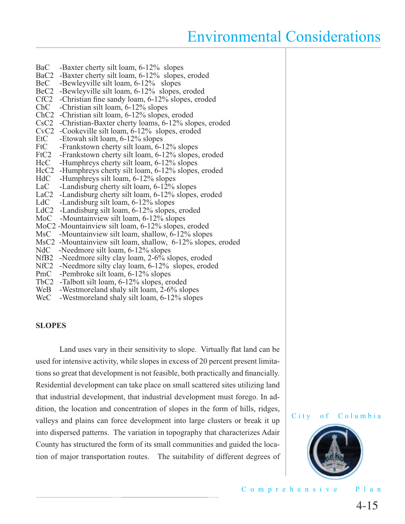- BaC -Baxter cherty silt loam, 6-12% slopes
- BaC2 -Baxter cherty silt loam, 6-12% slopes, eroded<br>BeC -Bewleyville silt loam, 6-12% slopes
- -Bewleyville silt loam, 6-12% slopes
- BeC2 -Bewleyville silt loam, 6-12% slopes, eroded
- CfC2 -Christian fine sandy loam, 6-12% slopes, eroded
- ChC -Christian silt loam, 6-12% slopes
- ChC2 -Christian silt loam, 6-12% slopes, eroded
- CsC2 -Christian-Baxter cherty loams, 6-12% slopes, eroded
- CvC2 -Cookeville silt loam, 6-12% slopes, eroded
- EtC -Etowah silt loam, 6-12% slopes<br>FtC -Frankstown cherty silt loam, 6-1
- FtC -Frankstown cherty silt loam, 6-12% slopes<br>FtC2 -Frankstown cherty silt loam, 6-12% slopes.
- -Frankstown cherty silt loam, 6-12% slopes, eroded
- HcC -Humphreys cherty silt loam, 6-12% slopes
- HcC2 -Humphreys cherty silt loam, 6-12% slopes, eroded<br>HdC -Humphreys silt loam, 6-12% slopes
- HdC -Humphreys silt loam, 6-12% slopes<br>LaC -Landisburg cherty silt loam, 6-12%
- -Landisburg cherty silt loam,  $6-12\%$  slopes
- LaC2 -Landisburg cherty silt loam, 6-12% slopes, eroded<br>LdC -Landisburg silt loam, 6-12% slopes
- -Landisburg silt loam, 6-12% slopes
- LdC2 -Landisburg silt loam, 6-12% slopes, eroded
- MoC -Mountainview silt loam, 6-12% slopes
- MoC2 -Mountainview silt loam, 6-12% slopes, eroded
- MsC -Mountainview silt loam, shallow,  $6-12\%$  slopes
- MsC2 -Mountainview silt loam, shallow, 6-12% slopes, eroded
- NdC -Needmore silt loam, 6-12% slopes
- NfB2 -Needmore silty clay loam, 2-6% slopes, eroded
- NfC2 -Needmore silty clay loam, 6-12% slopes, eroded
- PmC -Pembroke silt loam, 6-12% slopes
- TbC2 -Talbott silt loam, 6-12% slopes, eroded
- WeB -Westmoreland shaly silt loam, 2-6% slopes
- WeC -Westmoreland shaly silt loam, 6-12% slopes

#### **SLOPES**

Land uses vary in their sensitivity to slope. Virtually flat land can be used for intensive activity, while slopes in excess of 20 percent present limitations so great that development is not feasible, both practically and financially. Residential development can take place on small scattered sites utilizing land that industrial development, that industrial development must forego. In addition, the location and concentration of slopes in the form of hills, ridges, valleys and plains can force development into large clusters or break it up into dispersed patterns. The variation in topography that characterizes Adair County has structured the form of its small communities and guided the location of major transportation routes. The suitability of different degrees of



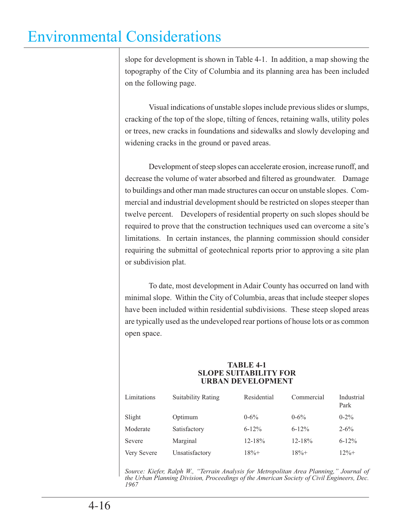slope for development is shown in Table 4-1. In addition, a map showing the topography of the City of Columbia and its planning area has been included on the following page.

 Visual indications of unstable slopes include previous slides or slumps, cracking of the top of the slope, tilting of fences, retaining walls, utility poles or trees, new cracks in foundations and sidewalks and slowly developing and widening cracks in the ground or paved areas.

 Development of steep slopes can accelerate erosion, increase runoff, and decrease the volume of water absorbed and filtered as groundwater. Damage to buildings and other man made structures can occur on unstable slopes. Commercial and industrial development should be restricted on slopes steeper than twelve percent. Developers of residential property on such slopes should be required to prove that the construction techniques used can overcome a site's limitations. In certain instances, the planning commission should consider requiring the submittal of geotechnical reports prior to approving a site plan or subdivision plat.

 To date, most development in Adair County has occurred on land with minimal slope. Within the City of Columbia, areas that include steeper slopes have been included within residential subdivisions. These steep sloped areas are typically used as the undeveloped rear portions of house lots or as common open space.

#### **TABLE 4-1 SLOPE SUITABILITY FOR URBAN DEVELOPMENT**

| Limitations | <b>Suitability Rating</b> | Residential | Commercial | Industrial<br>Park |
|-------------|---------------------------|-------------|------------|--------------------|
| Slight      | Optimum                   | $0 - 6\%$   | $0 - 6\%$  | $0 - 2\%$          |
| Moderate    | Satisfactory              | $6 - 12\%$  | $6 - 12\%$ | $2 - 6\%$          |
| Severe      | Marginal                  | $12 - 18%$  | $12 - 18%$ | $6 - 12\%$         |
| Very Severe | Unsatisfactory            | $18% +$     | $18% +$    | $12% +$            |

*Source: Kiefer, Ralph W., "Terrain Analysis for Metropolitan Area Planning," Journal of the Urban Planning Division, Proceedings of the American Society of Civil Engineers, Dec. 1967*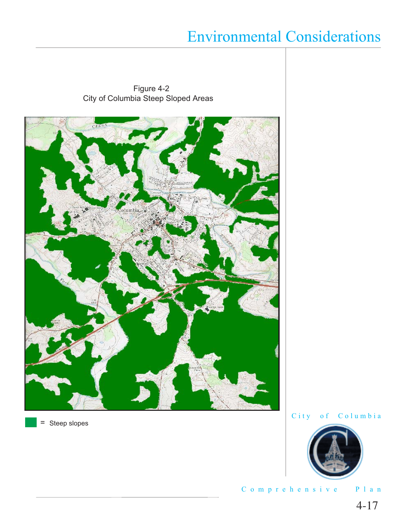Figure 4-2 City of Columbia Steep Sloped Areas



 $=$  Steep slopes



Comprehensive Plan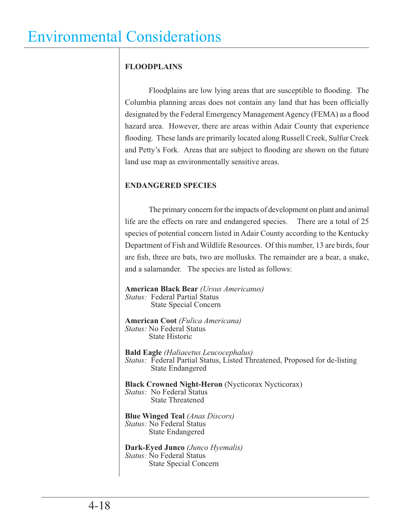### **FLOODPLAINS**

Floodplains are low lying areas that are susceptible to flooding. The Columbia planning areas does not contain any land that has been officially designated by the Federal Emergency Management Agency (FEMA) as a flood hazard area. However, there are areas within Adair County that experience flooding. These lands are primarily located along Russell Creek, Sulfur Creek and Petty's Fork. Areas that are subject to flooding are shown on the future land use map as environmentally sensitive areas.

### **ENDANGERED SPECIES**

 The primary concern for the impacts of development on plant and animal life are the effects on rare and endangered species. There are a total of 25 species of potential concern listed in Adair County according to the Kentucky Department of Fish and Wildlife Resources. Of this number, 13 are birds, four are fish, three are bats, two are mollusks. The remainder are a bear, a snake, and a salamander. The species are listed as follows:

**American Black Bear** *(Ursus Americanus) Status:* Federal Partial Status State Special Concern

**American Coot** *(Fulica Americana) Status:* No Federal Status State Historic

**Bald Eagle** *(Haliaeetus Leucocephalus) Status:* Federal Partial Status, Listed Threatened, Proposed for de-listing State Endangered

**Black Crowned Night-Heron** (Nycticorax Nycticorax) *Status:* No Federal Status State Threatened

**Blue Winged Teal** *(Anas Discors) Status:* No Federal Status State Endangered

**Dark-Eyed Junco** *(Junco Hyemalis) Status:* No Federal Status State Special Concern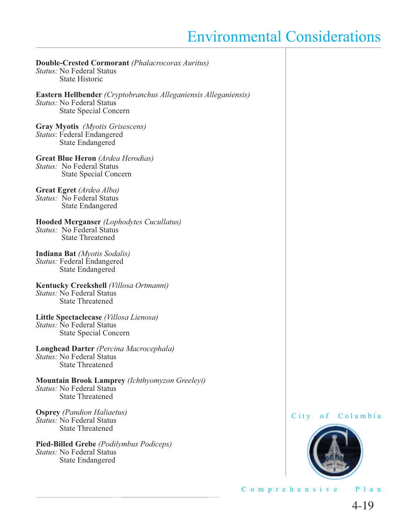**Double-Crested Cormorant** *(Phalacrocorax Auritus) Status:* No Federal Status State Historic **Eastern Hellbender** *(Cryptobranchus Alleganiensis Alleganiensis) Status:* No Federal Status State Special Concern **Gray Myotis** *(Myotis Grisescens) Status*: Federal Endangered State Endangered **Great Blue Heron** *(Ardea Herodias) Status:* No Federal Status State Special Concern **Great Egret** *(Ardea Alba) Status:* No Federal Status State Endangered **Hooded Merganser** *(Lophodytes Cucullatus) Status:* No Federal Status State Threatened **Indiana Bat** *(Myotis Sodalis) Status:* Federal Endangered State Endangered **Kentucky Creekshell** *(Villosa Ortmanni) Status:* No Federal Status State Threatened **Little Spectaclecase** *(Villosa Lienosa) Status:* No Federal Status State Special Concern **Longhead Darter** *(Percina Macrocephala) Status:* No Federal Status State Threatened **Mountain Brook Lamprey** *(Ichthyomyzon Greeleyi) Status:* No Federal Status State Threatened **Osprey** *(Pandion Haliaetus) Status:* No Federal Status State Threatened

**Pied-Billed Grebe** *(Podilymbus Podiceps) Status:* No Federal Status State Endangered

City of Columbia



Comprehensive Plan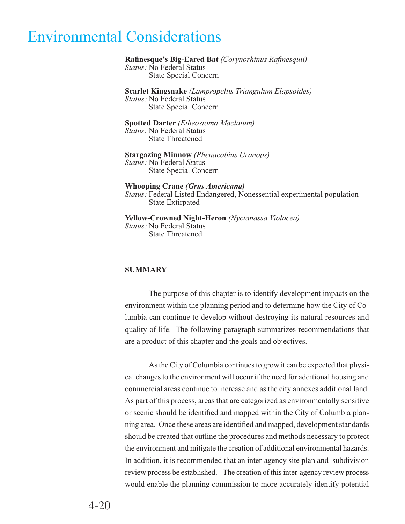Rafinesque's Big-Eared Bat *(Corynorhinus Rafinesquii) Status:* No Federal Status State Special Concern **Scarlet Kingsnake** *(Lampropeltis Triangulum Elapsoides) Status:* No Federal Status State Special Concern **Spotted Darter** *(Etheostoma Maclatum) Status:* No Federal Status State Threatened **Stargazing Minnow** *(Phenacobius Uranops) Status:* No Federal *St*atus State Special Concern **Whooping Crane** *(Grus Americana) Status:* Federal Listed Endangered, Nonessential experimental population State Extirpated **Yellow-Crowned Night-Heron** *(Nyctanassa Violacea) Status:* No Federal Status State Threatened **SUMMARY** The purpose of this chapter is to identify development impacts on the

environment within the planning period and to determine how the City of Columbia can continue to develop without destroying its natural resources and quality of life. The following paragraph summarizes recommendations that are a product of this chapter and the goals and objectives.

 As the City of Columbia continues to grow it can be expected that physical changes to the environment will occur if the need for additional housing and commercial areas continue to increase and as the city annexes additional land. As part of this process, areas that are categorized as environmentally sensitive or scenic should be identified and mapped within the City of Columbia planning area. Once these areas are identified and mapped, development standards should be created that outline the procedures and methods necessary to protect the environment and mitigate the creation of additional environmental hazards. In addition, it is recommended that an inter-agency site plan and subdivision review process be established. The creation of this inter-agency review process would enable the planning commission to more accurately identify potential